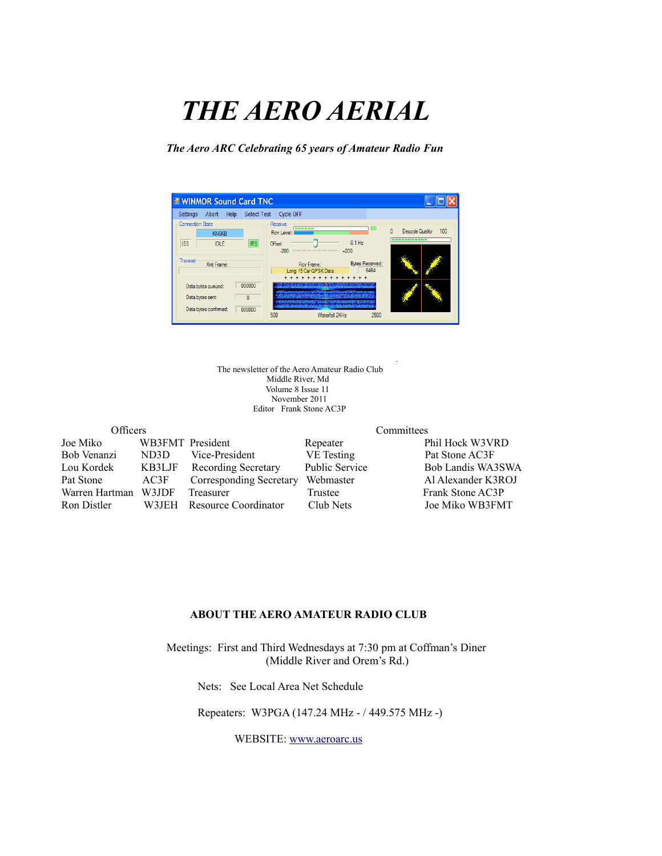# *THE AERO AERIAL*

*The Aero ARC Celebrating 65 years of Amateur Radio Fun*



 *.* The newsletter of the Aero Amateur Radio Club Middle River, Md Volume 8 Issue 11 November 2011 Editor Frank Stone AC3P

| Officers       |                  |                            | Committees            |                    |  |
|----------------|------------------|----------------------------|-----------------------|--------------------|--|
| Joe Miko       | WB3FMT President |                            | Repeater              | Phil Hock W3VRD    |  |
| Bob Venanzi    | ND3D             | Vice-President             | VE Testing            | Pat Stone AC3F     |  |
| Lou Kordek     | KB3LJF           | <b>Recording Secretary</b> | <b>Public Service</b> | Bob Landis WA3SWA  |  |
| Pat Stone      | AC3F             | Corresponding Secretary    | Webmaster             | Al Alexander K3ROJ |  |
| Warren Hartman | W3JDF            | Treasurer                  | Trustee               | Frank Stone AC3P   |  |
| Ron Distler    | W3JEH            | Resource Coordinator       | Club Nets             | Joe Miko WB3FMT    |  |

#### **ABOUT THE AERO AMATEUR RADIO CLUB**

 Meetings: First and Third Wednesdays at 7:30 pm at Coffman's Diner (Middle River and Orem's Rd.)

Nets: See Local Area Net Schedule

Repeaters: W3PGA (147.24 MHz - / 449.575 MHz -)

WEBSITE: [www.aeroarc.us](http://www.aeroarc.us/)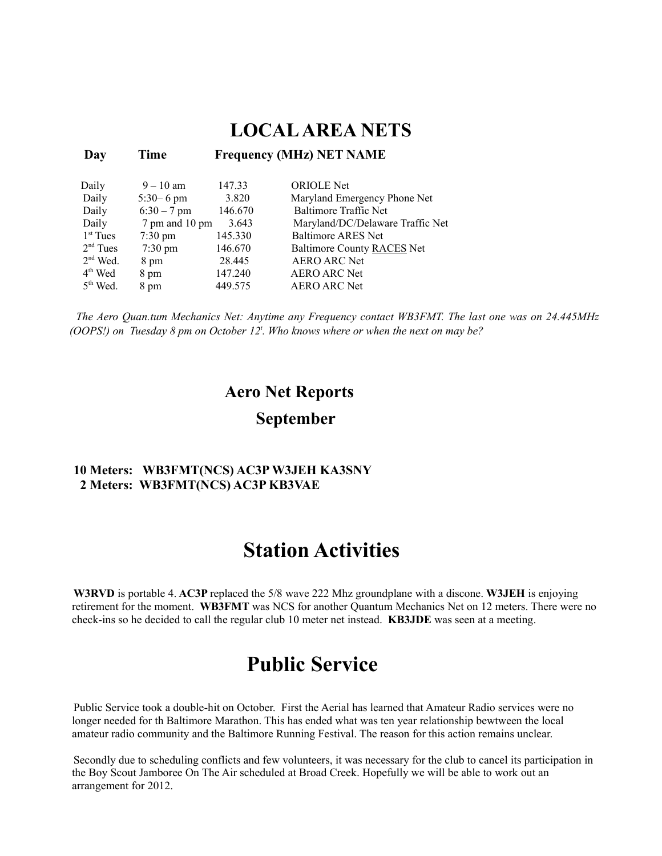### **LOCAL AREA NETS**

 **Day Time Frequency (MHz) NET NAME**

| Daily                | $9 - 10$ am       | 147.33  | <b>ORIOLE</b> Net                |
|----------------------|-------------------|---------|----------------------------------|
| Daily                | $5:30 - 6$ pm     | 3.820   | Maryland Emergency Phone Net     |
| Daily                | $6:30 - 7$ pm     | 146.670 | <b>Baltimore Traffic Net</b>     |
| Daily                | 7 pm and 10 pm    | 3.643   | Maryland/DC/Delaware Traffic Net |
| $1st$ Tues           | $7:30 \text{ pm}$ | 145.330 | <b>Baltimore ARES Net</b>        |
| 2 <sup>nd</sup> Tues | $7:30 \text{ pm}$ | 146.670 | Baltimore County RACES Net       |
| $2nd$ Wed.           | 8 pm              | 28.445  | <b>AERO ARC Net</b>              |
| $4th$ Wed            | 8 pm              | 147.240 | <b>AERO ARC Net</b>              |
| $5th$ Wed.           | 8 pm              | 449.575 | <b>AERO ARC Net</b>              |

*The Aero Quan.tum Mechanics Net: Anytime any Frequency contact WB3FMT. The last one was on 24.445MHz (OOPS!) on Tuesday 8 pm on October 12<sup>t</sup> . Who knows where or when the next on may be?*

### **Aero Net Reports September**

#### **10 Meters: WB3FMT(NCS) AC3P W3JEH KA3SNY 2 Meters: WB3FMT(NCS) AC3P KB3VAE**

### **Station Activities**

**W3RVD** is portable 4. **AC3P** replaced the 5/8 wave 222 Mhz groundplane with a discone. **W3JEH** is enjoying retirement for the moment. **WB3FMT** was NCS for another Quantum Mechanics Net on 12 meters. There were no check-ins so he decided to call the regular club 10 meter net instead. **KB3JDE** was seen at a meeting.

### **Public Service**

Public Service took a double-hit on October. First the Aerial has learned that Amateur Radio services were no longer needed for th Baltimore Marathon. This has ended what was ten year relationship bewtween the local amateur radio community and the Baltimore Running Festival. The reason for this action remains unclear.

Secondly due to scheduling conflicts and few volunteers, it was necessary for the club to cancel its participation in the Boy Scout Jamboree On The Air scheduled at Broad Creek. Hopefully we will be able to work out an arrangement for 2012.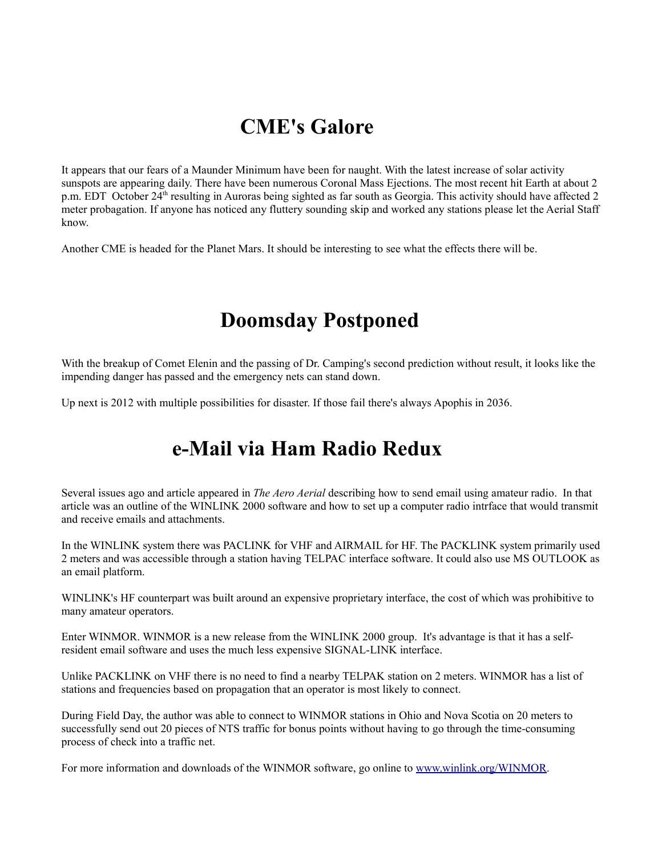# **CME's Galore**

It appears that our fears of a Maunder Minimum have been for naught. With the latest increase of solar activity sunspots are appearing daily. There have been numerous Coronal Mass Ejections. The most recent hit Earth at about 2 p.m. EDT October 24<sup>th</sup> resulting in Auroras being sighted as far south as Georgia. This activity should have affected 2 meter probagation. If anyone has noticed any fluttery sounding skip and worked any stations please let the Aerial Staff know.

Another CME is headed for the Planet Mars. It should be interesting to see what the effects there will be.

# **Doomsday Postponed**

With the breakup of Comet Elenin and the passing of Dr. Camping's second prediction without result, it looks like the impending danger has passed and the emergency nets can stand down.

Up next is 2012 with multiple possibilities for disaster. If those fail there's always Apophis in 2036.

# **e-Mail via Ham Radio Redux**

Several issues ago and article appeared in *The Aero Aerial* describing how to send email using amateur radio. In that article was an outline of the WINLINK 2000 software and how to set up a computer radio intrface that would transmit and receive emails and attachments.

In the WINLINK system there was PACLINK for VHF and AIRMAIL for HF. The PACKLINK system primarily used 2 meters and was accessible through a station having TELPAC interface software. It could also use MS OUTLOOK as an email platform.

WINLINK's HF counterpart was built around an expensive proprietary interface, the cost of which was prohibitive to many amateur operators.

Enter WINMOR. WINMOR is a new release from the WINLINK 2000 group. It's advantage is that it has a selfresident email software and uses the much less expensive SIGNAL-LINK interface.

Unlike PACKLINK on VHF there is no need to find a nearby TELPAK station on 2 meters. WINMOR has a list of stations and frequencies based on propagation that an operator is most likely to connect.

During Field Day, the author was able to connect to WINMOR stations in Ohio and Nova Scotia on 20 meters to successfully send out 20 pieces of NTS traffic for bonus points without having to go through the time-consuming process of check into a traffic net.

For more information and downloads of the WINMOR software, go online to [www.winlink.org/WINMOR.](http://www.winlink.org/WINMOR)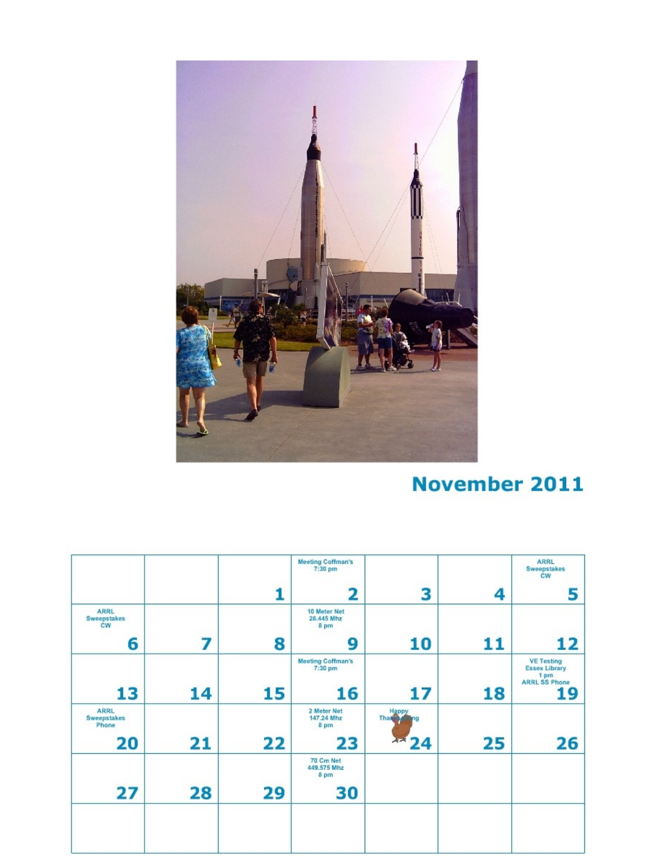

# **November 2011**

|                                         |    |    | <b>Meeting Coffman's</b><br>7:30 pm |                 |    | <b>ARRL</b><br>Sweepstakes<br>ĊW                                          |
|-----------------------------------------|----|----|-------------------------------------|-----------------|----|---------------------------------------------------------------------------|
|                                         |    |    | 2                                   | 3               | 4  | 5                                                                         |
| <b>ARRL</b><br><b>Sweepstakes</b><br>CW |    |    | 10 Meter Net<br>28.445 Mhz<br>8 pm  |                 |    |                                                                           |
| 6                                       | 7  | 8  | 9                                   | 10              | 11 | 12                                                                        |
|                                         |    |    | <b>Meeting Coffman's</b><br>7:30 pm |                 |    | <b>VE Testing</b><br><b>Essex Library</b><br>1 pm<br><b>ARRL SS Phone</b> |
| 13                                      | 14 | 15 | 16                                  | 17              | 18 | 19                                                                        |
| <b>ARRL</b><br>Sweepstakes<br>Phone     |    |    | 2 Meter Net<br>147.24 Mhz<br>8 pm   | Happy<br>Than   |    |                                                                           |
| 20                                      | 21 | 22 | 23                                  | <b>AR</b><br>24 | 25 | 26                                                                        |
|                                         |    |    | 70 Cm Net<br>449,575 Mhz<br>8 pm    |                 |    |                                                                           |
| 27                                      | 28 | 29 | 30                                  |                 |    |                                                                           |
|                                         |    |    |                                     |                 |    |                                                                           |
|                                         |    |    |                                     |                 |    |                                                                           |
|                                         |    |    |                                     |                 |    |                                                                           |